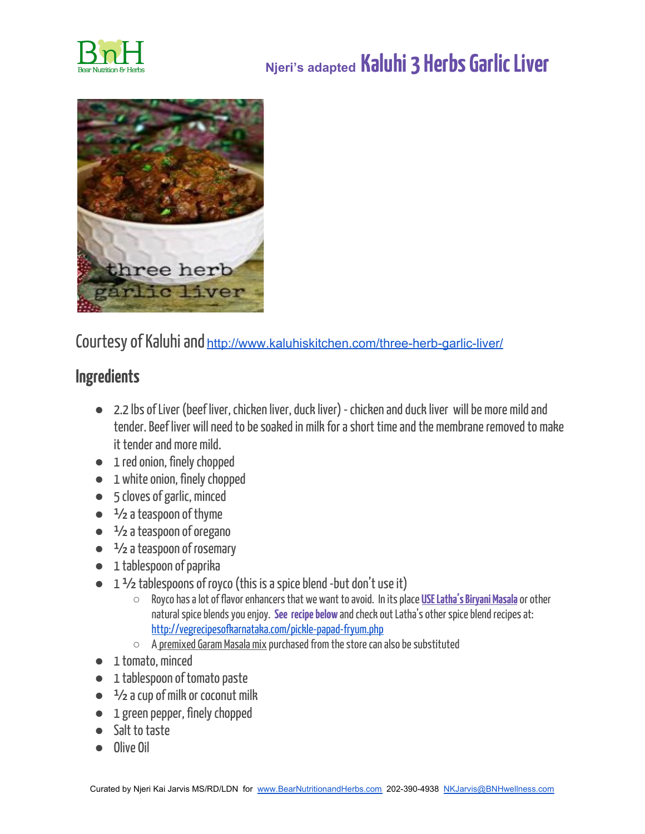



Courtesy of Kaluhi and <http://www.kaluhiskitchen.com/three-herb-garlic-liver/>

#### **Ingredients**

- $\bullet$  2.2 lbs of Liver (beef liver, chicken liver, duck liver) chicken and duck liver will be more mild and tender. Beef liver will need to be soaked in milk for a short time and the membrane removed to make it tender and more mild.
- 1 red onion, finely chopped
- 1 white onion, finely chopped
- 5 cloves of garlic, minced
- $\bullet$   $\frac{1}{2}$  a teaspoon of thyme
- $\bullet$   $\frac{1}{2}$  a teaspoon of oregano
- $\bullet$   $\frac{1}{2}$  a teaspoon of rosemary
- 1 tablespoonofpaprika
- $\bullet$  1  $\frac{1}{2}$  tablespoons of royco (this is a spice blend -but don't use it)
	- $\circ$  Royco has a lot of flavor enhancers that we want to avoid. In its place **USE Latha's Biryani Masala** or other natural spice blends you enjoy. See recipe below and check out Latha's other spice blend recipes at: <http://vegrecipesofkarnataka.com/pickle-papad-fryum.php>
	- A <u>premixed Garam Masala mix</u> purchased from the store can also be substituted
- 1 tomato, minced
- 1 tablespoon of tomato paste
- $\bullet$   $\frac{1}{2}$  a cup of milk or coconut milk
- 1 green pepper, finely chopped
- Salt to taste
- Olive Oil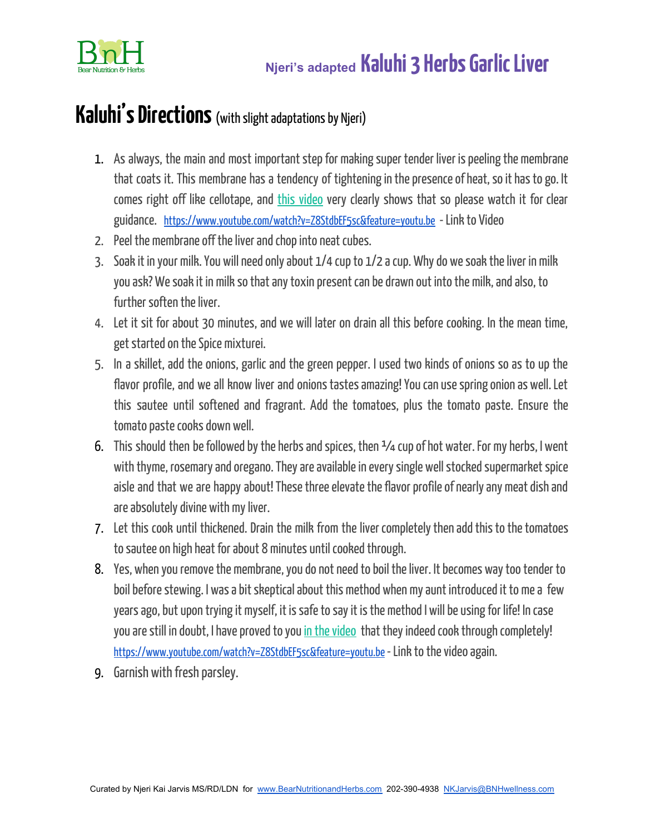

### Kaluhi's Directions (with slight adaptations by Njeri)

- 1. As always, the main and most important step for making super tender liver is peeling the membrane that coats it. This membrane has a tendency of tightening in the presence of heat, so it has to go. It comes right off like cellotape, and this [video](https://youtu.be/Z8StdbEF5sc) very clearly shows that so please watch it for clear guidance. <https://www.youtube.com/watch?v=Z8StdbEF5sc&feature=youtu.be> - Linkto Video
- 2. Peel the membrane off the liver and chop into neat cubes.
- 3. Soak it in your milk. You will need only about  $1/4$  cup to  $1/2$  a cup. Why do we soak the liver in milk you ask? We soak it in milk so that any toxin present can be drawn out into the milk, and also, to further soften the liver.
- 4. Let it sit for about 30 minutes, and we will later on drain all this before cooking. In the mean time, get started on the Spice mixturei.
- 5. In a skillet, add the onions, garlic and the green pepper. I used two kinds of onions so as to up the flavor profile, and we all know liver and onions tastes amazing! You can use spring onion as well. Let this sautee until softened and fragrant. Add the tomatoes, plus the tomato paste. Ensure the tomato paste cooks down well.
- 6. This should then be followed by the herbs and spices, then  $\frac{1}{4}$  cup of hot water. For my herbs, I went with thyme, rosemary and oregano. They are available in every single well stocked supermarket spice aisle and that we are happy about! These three elevate the flavor profile of nearly any meat dish and are absolutely divine with my liver.
- 7. Let this cook until thickened. Drain the milk from the liver completely then add this to the tomatoes to sautee on high heat for about 8 minutes until cooked through.
- 8. Yes, when you remove the membrane, you do not need to boil the liver. It becomes way too tender to boil before stewing. I was a bit skeptical about this method when my aunt introduced it to me a few years ago, but upon trying it myself, it is safe to say it is the method I will be using for life! In case you are still in doubt, I have proved to you in the video that they indeed cook through completely! <https://www.youtube.com/watch?v=Z8StdbEF5sc&feature=youtu.be> - Link to the video again.
- 9. Garnish with fresh parsley.